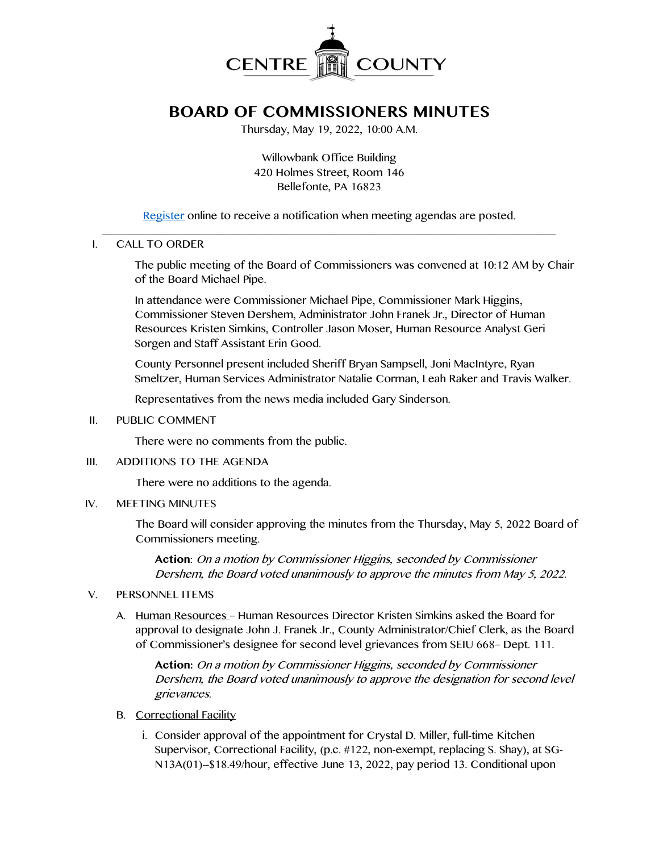

# **BOARD OF COMMISSIONERS MINUTES**

Thursday, May 19, 2022, 10:00 A.M.

Willowbank Office Building 420 Holmes Street, Room 146 Bellefonte, PA 16823

[Register](http://www.centrecountypa.gov/AgendaCenter) online to receive a notification when meeting agendas are posted.  $\mathcal{L} = \{ \mathcal{L} = \{ \mathcal{L} \mid \mathcal{L} = \{ \mathcal{L} \mid \mathcal{L} = \{ \mathcal{L} \mid \mathcal{L} = \{ \mathcal{L} \mid \mathcal{L} = \{ \mathcal{L} \mid \mathcal{L} = \{ \mathcal{L} \mid \mathcal{L} = \{ \mathcal{L} \mid \mathcal{L} = \{ \mathcal{L} \mid \mathcal{L} = \{ \mathcal{L} \mid \mathcal{L} = \{ \mathcal{L} \mid \mathcal{L} = \{ \mathcal{L} \mid \mathcal{L} = \{ \mathcal{L} \mid \mathcal{L} =$ 

## I. CALL TO ORDER

The public meeting of the Board of Commissioners was convened at 10:12 AM by Chair of the Board Michael Pipe.

In attendance were Commissioner Michael Pipe, Commissioner Mark Higgins, Commissioner Steven Dershem, Administrator John Franek Jr., Director of Human Resources Kristen Simkins, Controller Jason Moser, Human Resource Analyst Geri Sorgen and Staff Assistant Erin Good.

County Personnel present included Sheriff Bryan Sampsell, Joni MacIntyre, Ryan Smeltzer, Human Services Administrator Natalie Corman, Leah Raker and Travis Walker.

Representatives from the news media included Gary Sinderson.

II. PUBLIC COMMENT

There were no comments from the public.

III. ADDITIONS TO THE AGENDA

There were no additions to the agenda.

IV. MEETING MINUTES

The Board will consider approving the minutes from the Thursday, May 5, 2022 Board of Commissioners meeting.

**Action**: On a motion by Commissioner Higgins, seconded by Commissioner Dershem, the Board voted unanimously to approve the minutes from May 5, 2022.

#### V. PERSONNEL ITEMS

A. Human Resources – Human Resources Director Kristen Simkins asked the Board for approval to designate John J. Franek Jr., County Administrator/Chief Clerk, as the Board of Commissioner's designee for second level grievances from SEIU 668– Dept. 111.

**Action:** On a motion by Commissioner Higgins, seconded by Commissioner Dershem, the Board voted unanimously to approve the designation for second level grievances.

- B. Correctional Facility
	- i. Consider approval of the appointment for Crystal D. Miller, full-time Kitchen Supervisor, Correctional Facility, (p.c. #122, non-exempt, replacing S. Shay), at SG-N13A(01)--\$18.49/hour, effective June 13, 2022, pay period 13. Conditional upon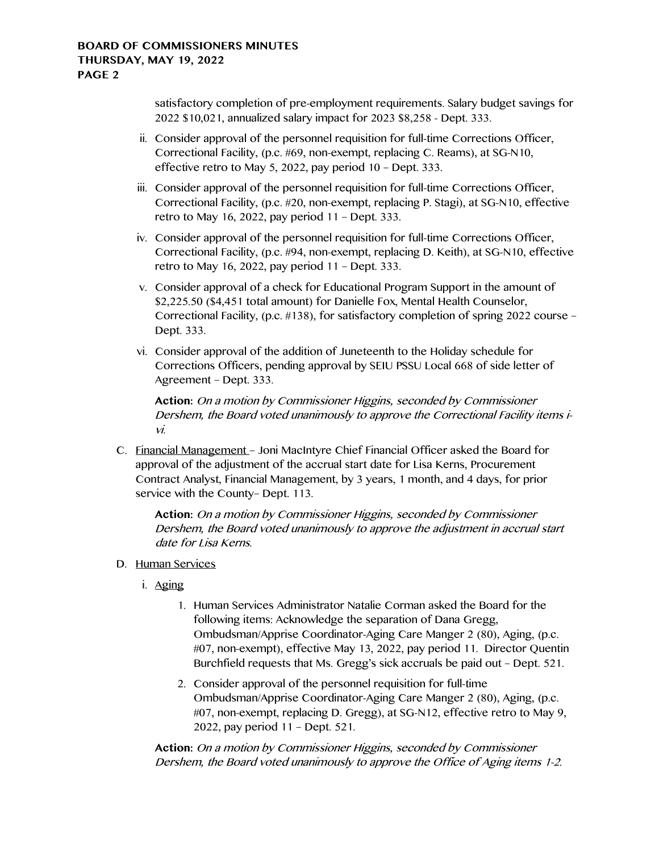satisfactory completion of pre-employment requirements. Salary budget savings for 2022 \$10,021, annualized salary impact for 2023 \$8,258 - Dept. 333.

- ii. Consider approval of the personnel requisition for full-time Corrections Officer, Correctional Facility, (p.c. #69, non-exempt, replacing C. Reams), at SG-N10, effective retro to May 5, 2022, pay period 10 – Dept. 333.
- iii. Consider approval of the personnel requisition for full-time Corrections Officer, Correctional Facility, (p.c. #20, non-exempt, replacing P. Stagi), at SG-N10, effective retro to May 16, 2022, pay period 11 – Dept. 333.
- iv. Consider approval of the personnel requisition for full-time Corrections Officer, Correctional Facility, (p.c. #94, non-exempt, replacing D. Keith), at SG-N10, effective retro to May 16, 2022, pay period 11 – Dept. 333.
- v. Consider approval of a check for Educational Program Support in the amount of \$2,225.50 (\$4,451 total amount) for Danielle Fox, Mental Health Counselor, Correctional Facility, (p.c. #138), for satisfactory completion of spring 2022 course – Dept. 333.
- vi. Consider approval of the addition of Juneteenth to the Holiday schedule for Corrections Officers, pending approval by SEIU PSSU Local 668 of side letter of Agreement – Dept. 333.

**Action:** On a motion by Commissioner Higgins, seconded by Commissioner Dershem, the Board voted unanimously to approve the Correctional Facility items ivi.

C. Financial Management – Joni MacIntyre Chief Financial Officer asked the Board for approval of the adjustment of the accrual start date for Lisa Kerns, Procurement Contract Analyst, Financial Management, by 3 years, 1 month, and 4 days, for prior service with the County– Dept. 113.

**Action:** On a motion by Commissioner Higgins, seconded by Commissioner Dershem, the Board voted unanimously to approve the adjustment in accrual start date for Lisa Kerns.

- D. Human Services
	- i. Aging
		- 1. Human Services Administrator Natalie Corman asked the Board for the following items: Acknowledge the separation of Dana Gregg, Ombudsman/Apprise Coordinator-Aging Care Manger 2 (80), Aging, (p.c. #07, non-exempt), effective May 13, 2022, pay period 11. Director Quentin Burchfield requests that Ms. Gregg's sick accruals be paid out – Dept. 521.
		- 2. Consider approval of the personnel requisition for full-time Ombudsman/Apprise Coordinator-Aging Care Manger 2 (80), Aging, (p.c. #07, non-exempt, replacing D. Gregg), at SG-N12, effective retro to May 9, 2022, pay period 11 – Dept. 521.

**Action:** On a motion by Commissioner Higgins, seconded by Commissioner Dershem, the Board voted unanimously to approve the Office of Aging items 1-2.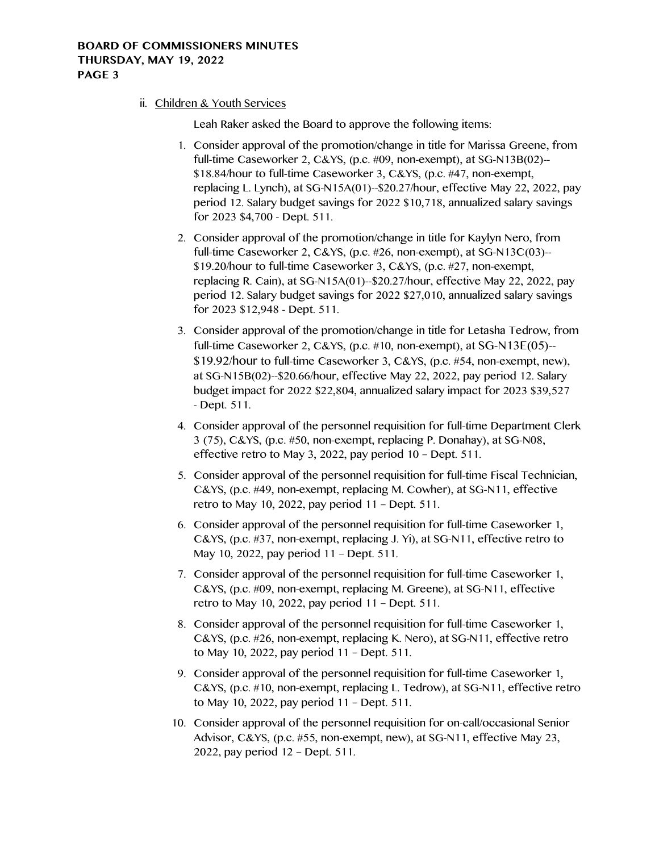## **BOARD OF COMMISSIONERS MINUTES THURSDAY, MAY 19, 2022 PAGE 3**

ii. Children & Youth Services

Leah Raker asked the Board to approve the following items:

- 1. Consider approval of the promotion/change in title for Marissa Greene, from full-time Caseworker 2, C&YS, (p.c. #09, non-exempt), at SG-N13B(02)-- \$18.84/hour to full-time Caseworker 3, C&YS, (p.c. #47, non-exempt, replacing L. Lynch), at SG-N15A(01)--\$20.27/hour, effective May 22, 2022, pay period 12. Salary budget savings for 2022 \$10,718, annualized salary savings for 2023 \$4,700 - Dept. 511.
- 2. Consider approval of the promotion/change in title for Kaylyn Nero, from full-time Caseworker 2, C&YS, (p.c. #26, non-exempt), at SG-N13C(03)-- \$19.20/hour to full-time Caseworker 3, C&YS, (p.c. #27, non-exempt, replacing R. Cain), at SG-N15A(01)--\$20.27/hour, effective May 22, 2022, pay period 12. Salary budget savings for 2022 \$27,010, annualized salary savings for 2023 \$12,948 - Dept. 511.
- 3. Consider approval of the promotion/change in title for Letasha Tedrow, from full-time Caseworker 2, C&YS, (p.c. #10, non-exempt), at SG-N13E(05)-- \$19.92/hour to full-time Caseworker 3, C&YS, (p.c. #54, non-exempt, new), at SG-N15B(02)--\$20.66/hour, effective May 22, 2022, pay period 12. Salary budget impact for 2022 \$22,804, annualized salary impact for 2023 \$39,527 - Dept. 511.
- 4. Consider approval of the personnel requisition for full-time Department Clerk 3 (75), C&YS, (p.c. #50, non-exempt, replacing P. Donahay), at SG-N08, effective retro to May 3, 2022, pay period 10 – Dept. 511.
- 5. Consider approval of the personnel requisition for full-time Fiscal Technician, C&YS, (p.c. #49, non-exempt, replacing M. Cowher), at SG-N11, effective retro to May 10, 2022, pay period 11 – Dept. 511.
- 6. Consider approval of the personnel requisition for full-time Caseworker 1, C&YS, (p.c. #37, non-exempt, replacing J. Yi), at SG-N11, effective retro to May 10, 2022, pay period 11 – Dept. 511.
- 7. Consider approval of the personnel requisition for full-time Caseworker 1, C&YS, (p.c. #09, non-exempt, replacing M. Greene), at SG-N11, effective retro to May 10, 2022, pay period 11 – Dept. 511.
- 8. Consider approval of the personnel requisition for full-time Caseworker 1, C&YS, (p.c. #26, non-exempt, replacing K. Nero), at SG-N11, effective retro to May 10, 2022, pay period 11 – Dept. 511.
- 9. Consider approval of the personnel requisition for full-time Caseworker 1, C&YS, (p.c. #10, non-exempt, replacing L. Tedrow), at SG-N11, effective retro to May 10, 2022, pay period 11 – Dept. 511.
- 10. Consider approval of the personnel requisition for on-call/occasional Senior Advisor, C&YS, (p.c. #55, non-exempt, new), at SG-N11, effective May 23, 2022, pay period 12 – Dept. 511.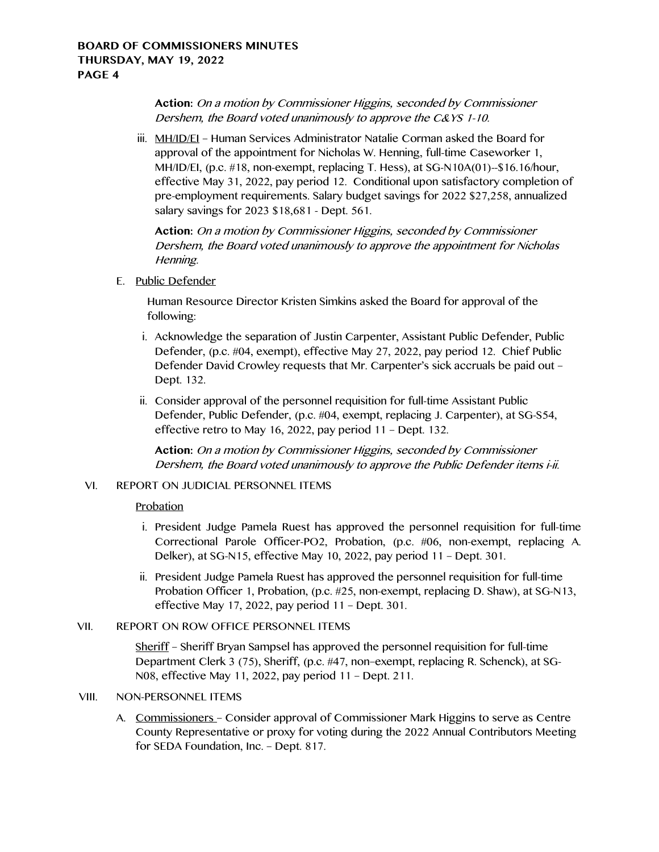**Action:** On a motion by Commissioner Higgins, seconded by Commissioner Dershem, the Board voted unanimously to approve the C&YS 1-10.

iii. MH/ID/EI – Human Services Administrator Natalie Corman asked the Board for approval of the appointment for Nicholas W. Henning, full-time Caseworker 1, MH/ID/EI, (p.c. #18, non-exempt, replacing T. Hess), at SG-N10A(01)--\$16.16/hour, effective May 31, 2022, pay period 12. Conditional upon satisfactory completion of pre-employment requirements. Salary budget savings for 2022 \$27,258, annualized salary savings for 2023 \$18,681 - Dept. 561.

**Action:** On a motion by Commissioner Higgins, seconded by Commissioner Dershem, the Board voted unanimously to approve the appointment for Nicholas Henning.

E. Public Defender

Human Resource Director Kristen Simkins asked the Board for approval of the following:

- i. Acknowledge the separation of Justin Carpenter, Assistant Public Defender, Public Defender, (p.c. #04, exempt), effective May 27, 2022, pay period 12. Chief Public Defender David Crowley requests that Mr. Carpenter's sick accruals be paid out – Dept. 132.
- ii. Consider approval of the personnel requisition for full-time Assistant Public Defender, Public Defender, (p.c. #04, exempt, replacing J. Carpenter), at SG-S54, effective retro to May 16, 2022, pay period 11 – Dept. 132.

**Action:** On a motion by Commissioner Higgins, seconded by Commissioner Dershem, the Board voted unanimously to approve the Public Defender items i-ii.

# VI. REPORT ON JUDICIAL PERSONNEL ITEMS

#### Probation

- i. President Judge Pamela Ruest has approved the personnel requisition for full-time Correctional Parole Officer-PO2, Probation, (p.c. #06, non-exempt, replacing A. Delker), at SG-N15, effective May 10, 2022, pay period 11 – Dept. 301.
- ii. President Judge Pamela Ruest has approved the personnel requisition for full-time Probation Officer 1, Probation, (p.c. #25, non-exempt, replacing D. Shaw), at SG-N13, effective May 17, 2022, pay period 11 – Dept. 301.

#### VII. REPORT ON ROW OFFICE PERSONNEL ITEMS

Sheriff – Sheriff Bryan Sampsel has approved the personnel requisition for full-time Department Clerk 3 (75), Sheriff, (p.c. #47, non–exempt, replacing R. Schenck), at SG-N08, effective May 11, 2022, pay period 11 – Dept. 211.

# VIII. NON-PERSONNEL ITEMS

A. Commissioners – Consider approval of Commissioner Mark Higgins to serve as Centre County Representative or proxy for voting during the 2022 Annual Contributors Meeting for SEDA Foundation, Inc. – Dept. 817.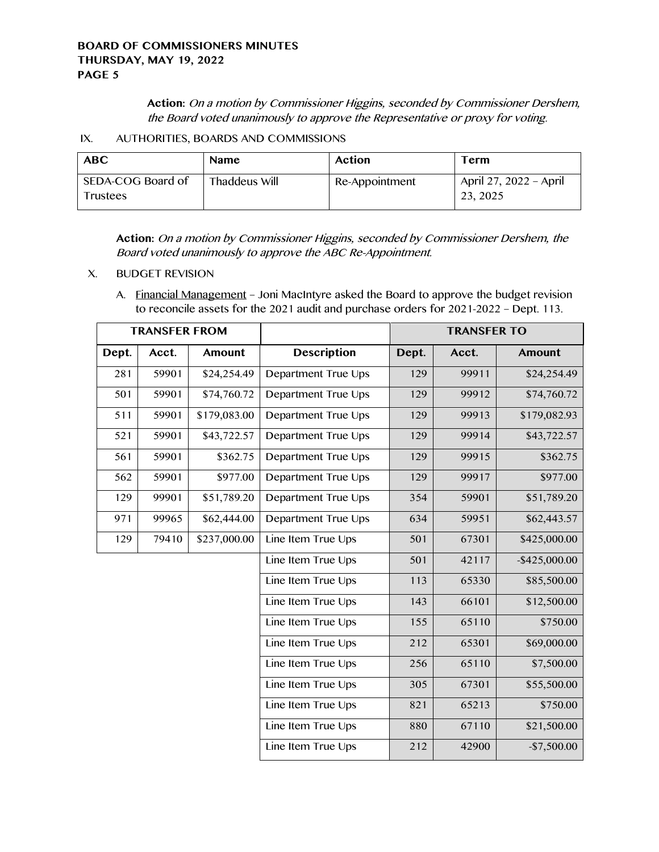**Action:** On a motion by Commissioner Higgins, seconded by Commissioner Dershem, the Board voted unanimously to approve the Representative or proxy for voting.

IX. AUTHORITIES, BOARDS AND COMMISSIONS

| <b>ABC</b>                    | <b>Name</b>   | <b>Action</b>  | Term                               |
|-------------------------------|---------------|----------------|------------------------------------|
| SEDA-COG Board of<br>Trustees | Thaddeus Will | Re-Appointment | April 27, 2022 - April<br>23, 2025 |

**Action:** On a motion by Commissioner Higgins, seconded by Commissioner Dershem, the Board voted unanimously to approve the ABC Re-Appointment.

X. BUDGET REVISION

A. Financial Management – Joni MacIntyre asked the Board to approve the budget revision to reconcile assets for the 2021 audit and purchase orders for 2021-2022 – Dept. 113.

| <b>TRANSFER FROM</b> |       |               |                     | <b>TRANSFER TO</b> |       |                  |
|----------------------|-------|---------------|---------------------|--------------------|-------|------------------|
| Dept.                | Acct. | <b>Amount</b> | <b>Description</b>  | Dept.              | Acct. | <b>Amount</b>    |
| 281                  | 59901 | \$24,254.49   | Department True Ups | 129                | 99911 | \$24,254.49      |
| 501                  | 59901 | \$74,760.72   | Department True Ups | 129                | 99912 | \$74,760.72      |
| 511                  | 59901 | \$179,083.00  | Department True Ups | 129                | 99913 | \$179,082.93     |
| 521                  | 59901 | \$43,722.57   | Department True Ups | 129                | 99914 | \$43,722.57      |
| 561                  | 59901 | \$362.75      | Department True Ups | 129                | 99915 | \$362.75         |
| 562                  | 59901 | \$977.00      | Department True Ups | 129                | 99917 | \$977.00         |
| 129                  | 99901 | \$51,789.20   | Department True Ups | 354                | 59901 | \$51,789.20      |
| 971                  | 99965 | \$62,444.00   | Department True Ups | 634                | 59951 | \$62,443.57      |
| 129                  | 79410 | \$237,000.00  | Line Item True Ups  | 501                | 67301 | \$425,000.00     |
|                      |       |               | Line Item True Ups  | 501                | 42117 | $-$ \$425,000.00 |
|                      |       |               | Line Item True Ups  | 113                | 65330 | \$85,500.00      |
|                      |       |               | Line Item True Ups  | 143                | 66101 | \$12,500.00      |
|                      |       |               | Line Item True Ups  | 155                | 65110 | \$750.00         |
|                      |       |               | Line Item True Ups  | 212                | 65301 | \$69,000.00      |
|                      |       |               | Line Item True Ups  | 256                | 65110 | \$7,500.00       |
|                      |       |               | Line Item True Ups  | 305                | 67301 | \$55,500.00      |
|                      |       |               | Line Item True Ups  | 821                | 65213 | \$750.00         |
|                      |       |               | Line Item True Ups  | 880                | 67110 | \$21,500.00      |
|                      |       |               | Line Item True Ups  | 212                | 42900 | $-$7,500.00$     |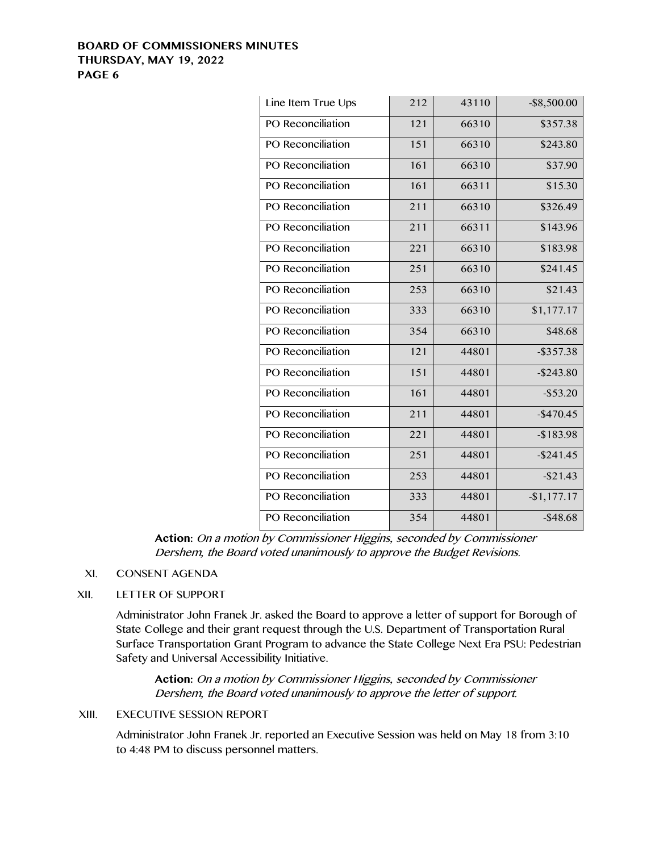## **BOARD OF COMMISSIONERS MINUTES THURSDAY, MAY 19, 2022 PAGE 6**

| 212 | 43110 | $-$ \$8,500.00 |
|-----|-------|----------------|
| 121 | 66310 | \$357.38       |
| 151 | 66310 | \$243.80       |
| 161 | 66310 | \$37.90        |
| 161 | 66311 | \$15.30        |
| 211 | 66310 | \$326.49       |
| 211 | 66311 | \$143.96       |
| 221 | 66310 | \$183.98       |
| 251 | 66310 | \$241.45       |
| 253 | 66310 | \$21.43        |
| 333 | 66310 | \$1,177.17     |
| 354 | 66310 | \$48.68        |
| 121 | 44801 | $-$ \$357.38   |
| 151 | 44801 | $-$ \$243.80   |
| 161 | 44801 | $-$ \$53.20    |
| 211 | 44801 | $-$470.45$     |
| 221 | 44801 | $-$183.98$     |
| 251 | 44801 | $-$ \$241.45   |
| 253 | 44801 | $-$ \$21.43    |
| 333 | 44801 | $-$1,177.17$   |
| 354 | 44801 | $-$ \$48.68    |
|     |       |                |

**Action:** On a motion by Commissioner Higgins, seconded by Commissioner Dershem, the Board voted unanimously to approve the Budget Revisions.

### XI. CONSENT AGENDA

#### XII. LETTER OF SUPPORT

Administrator John Franek Jr. asked the Board to approve a letter of support for Borough of State College and their grant request through the U.S. Department of Transportation Rural Surface Transportation Grant Program to advance the State College Next Era PSU: Pedestrian Safety and Universal Accessibility Initiative.

**Action:** On a motion by Commissioner Higgins, seconded by Commissioner Dershem, the Board voted unanimously to approve the letter of support.

## XIII. EXECUTIVE SESSION REPORT

Administrator John Franek Jr. reported an Executive Session was held on May 18 from 3:10 to 4:48 PM to discuss personnel matters.